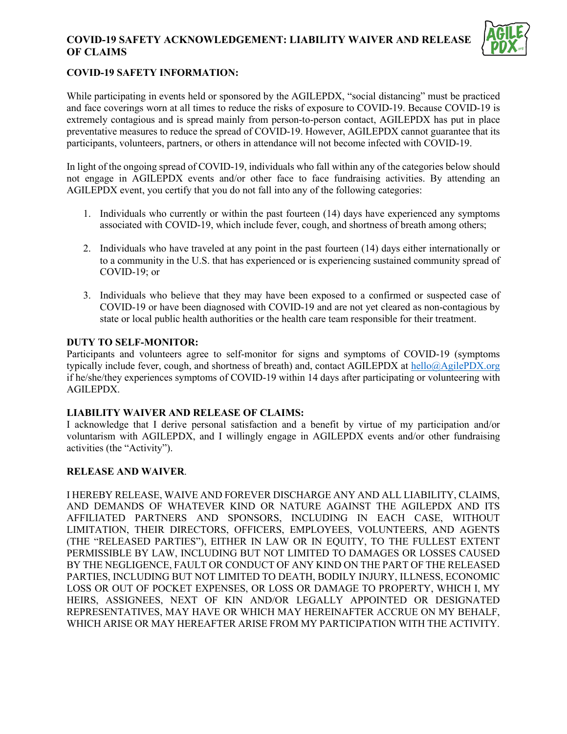# **COVID-19 SAFETY ACKNOWLEDGEMENT: LIABILITY WAIVER AND RELEASE OF CLAIMS**



# **COVID-19 SAFETY INFORMATION:**

While participating in events held or sponsored by the AGILEPDX, "social distancing" must be practiced and face coverings worn at all times to reduce the risks of exposure to COVID-19. Because COVID-19 is extremely contagious and is spread mainly from person-to-person contact, AGILEPDX has put in place preventative measures to reduce the spread of COVID-19. However, AGILEPDX cannot guarantee that its participants, volunteers, partners, or others in attendance will not become infected with COVID-19.

In light of the ongoing spread of COVID-19, individuals who fall within any of the categories below should not engage in AGILEPDX events and/or other face to face fundraising activities. By attending an AGILEPDX event, you certify that you do not fall into any of the following categories:

- 1. Individuals who currently or within the past fourteen (14) days have experienced any symptoms associated with COVID-19, which include fever, cough, and shortness of breath among others;
- 2. Individuals who have traveled at any point in the past fourteen (14) days either internationally or to a community in the U.S. that has experienced or is experiencing sustained community spread of COVID-19; or
- 3. Individuals who believe that they may have been exposed to a confirmed or suspected case of COVID-19 or have been diagnosed with COVID-19 and are not yet cleared as non-contagious by state or local public health authorities or the health care team responsible for their treatment.

### **DUTY TO SELF-MONITOR:**

Participants and volunteers agree to self-monitor for signs and symptoms of COVID-19 (symptoms typically include fever, cough, and shortness of breath) and, contact AGILEPDX at [hello@AgilePDX.org](mailto:hello@agilepdx.org) if he/she/they experiences symptoms of COVID-19 within 14 days after participating or volunteering with AGILEPDX.

# **LIABILITY WAIVER AND RELEASE OF CLAIMS:**

I acknowledge that I derive personal satisfaction and a benefit by virtue of my participation and/or voluntarism with AGILEPDX, and I willingly engage in AGILEPDX events and/or other fundraising activities (the "Activity").

#### **RELEASE AND WAIVER**.

I HEREBY RELEASE, WAIVE AND FOREVER DISCHARGE ANY AND ALL LIABILITY, CLAIMS, AND DEMANDS OF WHATEVER KIND OR NATURE AGAINST THE AGILEPDX AND ITS AFFILIATED PARTNERS AND SPONSORS, INCLUDING IN EACH CASE, WITHOUT LIMITATION, THEIR DIRECTORS, OFFICERS, EMPLOYEES, VOLUNTEERS, AND AGENTS (THE "RELEASED PARTIES"), EITHER IN LAW OR IN EQUITY, TO THE FULLEST EXTENT PERMISSIBLE BY LAW, INCLUDING BUT NOT LIMITED TO DAMAGES OR LOSSES CAUSED BY THE NEGLIGENCE, FAULT OR CONDUCT OF ANY KIND ON THE PART OF THE RELEASED PARTIES, INCLUDING BUT NOT LIMITED TO DEATH, BODILY INJURY, ILLNESS, ECONOMIC LOSS OR OUT OF POCKET EXPENSES, OR LOSS OR DAMAGE TO PROPERTY, WHICH I, MY HEIRS, ASSIGNEES, NEXT OF KIN AND/OR LEGALLY APPOINTED OR DESIGNATED REPRESENTATIVES, MAY HAVE OR WHICH MAY HEREINAFTER ACCRUE ON MY BEHALF, WHICH ARISE OR MAY HEREAFTER ARISE FROM MY PARTICIPATION WITH THE ACTIVITY.